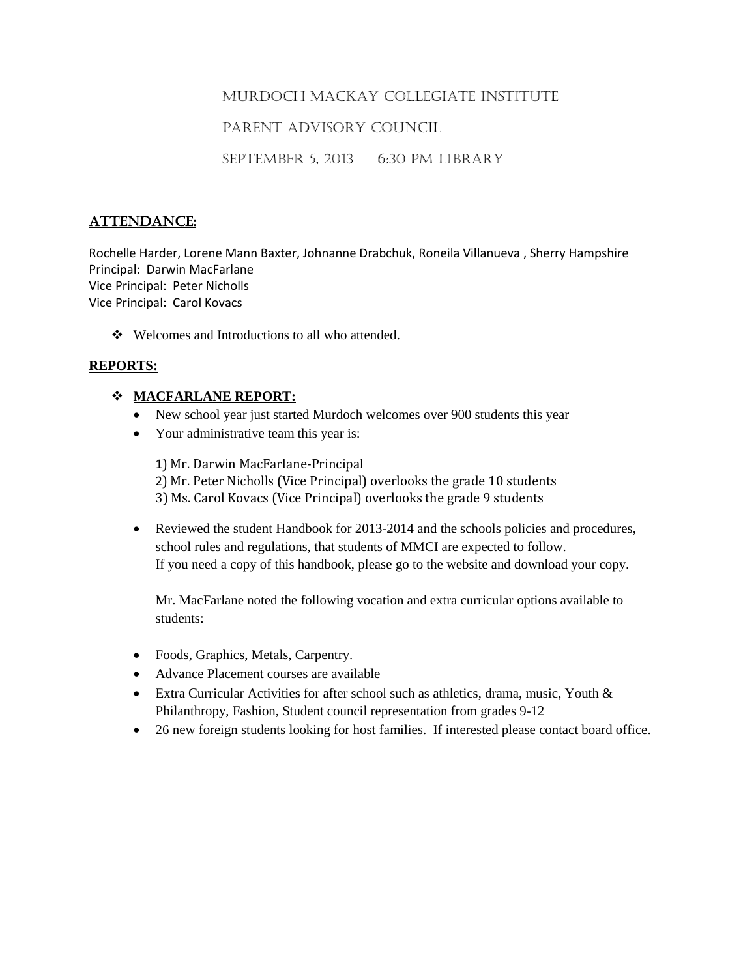## MURDOCH MACKAY COLLEGIATE INSTITUTE

## PARENT ADVISORY COUNCIL

SEPTEMBER 5, 2013 6:30 PM LIBRARY

# ATTENDANCE:

Rochelle Harder, Lorene Mann Baxter, Johnanne Drabchuk, Roneila Villanueva , Sherry Hampshire Principal: Darwin MacFarlane Vice Principal: Peter Nicholls Vice Principal: Carol Kovacs

❖ Welcomes and Introductions to all who attended.

#### **REPORTS:**

#### **MACFARLANE REPORT:**

- New school year just started Murdoch welcomes over 900 students this year
- Your administrative team this year is:

1) Mr. Darwin MacFarlane-Principal 2) Mr. Peter Nicholls (Vice Principal) overlooks the grade 10 students 3) Ms. Carol Kovacs (Vice Principal) overlooks the grade 9 students

 Reviewed the student Handbook for 2013-2014 and the schools policies and procedures, school rules and regulations, that students of MMCI are expected to follow. If you need a copy of this handbook, please go to the website and download your copy.

Mr. MacFarlane noted the following vocation and extra curricular options available to students:

- Foods, Graphics, Metals, Carpentry.
- Advance Placement courses are available
- Extra Curricular Activities for after school such as athletics, drama, music, Youth & Philanthropy, Fashion, Student council representation from grades 9-12
- 26 new foreign students looking for host families. If interested please contact board office.